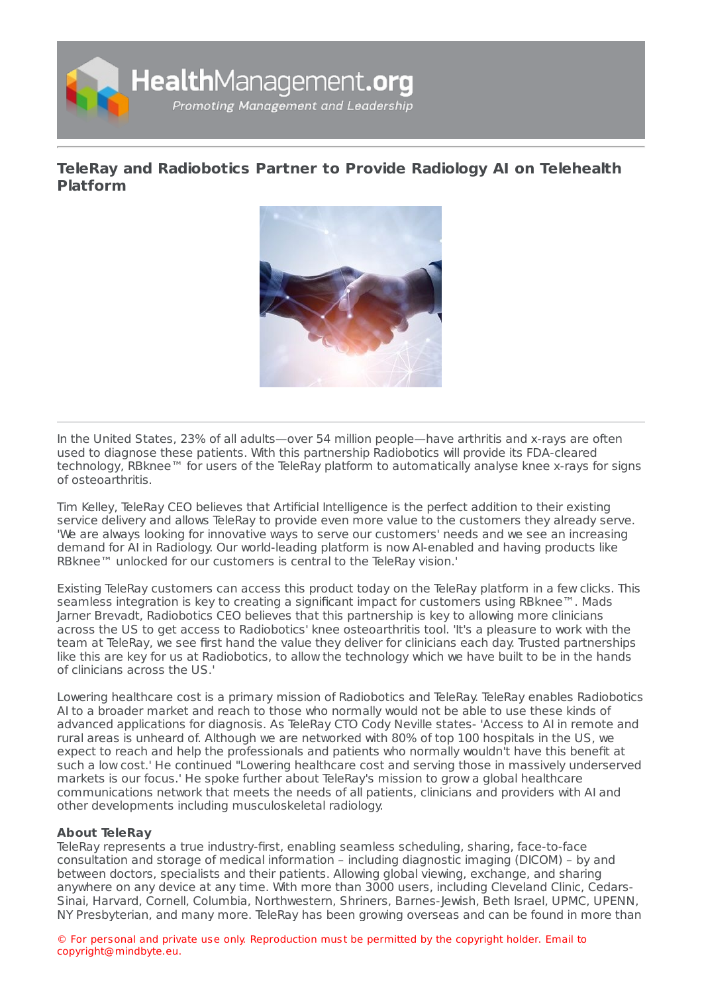

**TeleRay and [Radiobotics](https://www.healthmanagement.org/s/teleray-and-radiobotics-partner-to-provide-radiology-ai-on-telehealth-platform-1) Partner to Provide Radiology AI on Telehealth Platform**



In the United States, 23% of all adults—over 54 million people—have arthritis and x-rays are often used to diagnose these patients. With this partnership Radiobotics will provide its FDA-cleared technology, RBknee™ for users of the TeleRay platform to automatically analyse knee x-rays for signs of osteoarthritis.

Tim Kelley, TeleRay CEO believes that Artificial Intelligence is the perfect addition to their existing service delivery and allows TeleRay to provide even more value to the customers they already serve. 'We are always looking for innovative ways to serve our customers' needs and we see an increasing demand for AI in Radiology. Our world-leading platform is now AI-enabled and having products like RBknee™ unlocked for our customers is central to the TeleRay vision.'

Existing TeleRay customers can access this product today on the TeleRay platform in a few clicks. This seamless integration is key to creating a significant impact for customers using RBknee™. Mads Jarner Brevadt, Radiobotics CEO believes that this partnership is key to allowing more clinicians across the US to get access to Radiobotics' knee osteoarthritis tool. 'It's a pleasure to work with the team at TeleRay, we see first hand the value they deliver for clinicians each day. Trusted partnerships like this are key for us at Radiobotics, to allow the technology which we have built to be in the hands of clinicians across the US.'

Lowering healthcare cost is a primary mission of Radiobotics and TeleRay. TeleRay enables Radiobotics AI to a broader market and reach to those who normally would not be able to use these kinds of advanced applications for diagnosis. As TeleRay CTO Cody Neville states- 'Access to AI in remote and rural areas is unheard of. Although we are networked with 80% of top 100 hospitals in the US, we expect to reach and help the professionals and patients who normally wouldn't have this benefit at such a low cost.' He continued "Lowering healthcare cost and serving those in massively underserved markets is our focus.' He spoke further about TeleRay's mission to grow a global healthcare communications network that meets the needs of all patients, clinicians and providers with AI and other developments including musculoskeletal radiology.

### **About TeleRay**

TeleRay represents a true industry-first, enabling seamless scheduling, sharing, face-to-face consultation and storage of medical information – including diagnostic imaging (DICOM) – by and between doctors, specialists and their patients. Allowing global viewing, exchange, and sharing anywhere on any device at any time. With more than 3000 users, including Cleveland Clinic, Cedars-Sinai, Harvard, Cornell, Columbia, Northwestern, Shriners, Barnes-Jewish, Beth Israel, UPMC, UPENN, NY Presbyterian, and many more. TeleRay has been growing overseas and can be found in more than

© For personal and private use only. Reproduction must be permitted by the copyright holder. Email to copyright@mindbyte.eu.